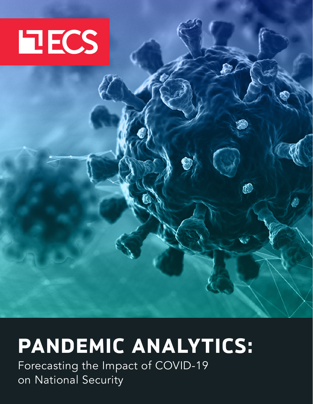

# **PANDEMIC ANALYTICS:**

٤

Forecasting the Impact of COVID-19 on National Security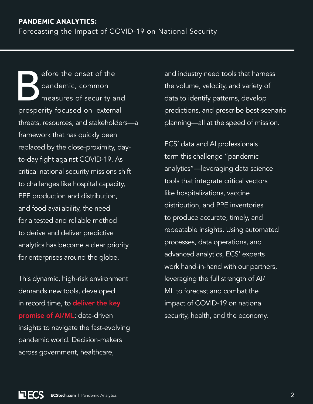# **PANDEMIC ANALYTICS:**

Forecasting the Impact of COVID-19 on National Security

efore the onset of the<br>pandemic, common<br>measures of security a<br>prosperity focused on extern pandemic, common measures of security and prosperity focused on external threats, resources, and stakeholders—a framework that has quickly been replaced by the close-proximity, dayto-day fight against COVID-19. As critical national security missions shift to challenges like hospital capacity, PPE production and distribution, and food availability, the need for a tested and reliable method to derive and deliver predictive analytics has become a clear priority for enterprises around the globe.

This dynamic, high-risk environment demands new tools, developed in record time, to deliver the key [promise of AI/ML](https://hubs.li/Q012tCGV0): data-driven insights to navigate the fast-evolving pandemic world. Decision-makers across government, healthcare,

and industry need tools that harness the volume, velocity, and variety of data to identify patterns, develop predictions, and prescribe best-scenario planning—all at the speed of mission.

ECS' data and AI professionals term this challenge "pandemic analytics"—leveraging data science tools that integrate critical vectors like hospitalizations, vaccine distribution, and PPE inventories to produce accurate, timely, and repeatable insights. Using automated processes, data operations, and advanced analytics, ECS' experts work hand-in-hand with our partners, leveraging the full strength of AI/ ML to forecast and combat the impact of COVID-19 on national security, health, and the economy.

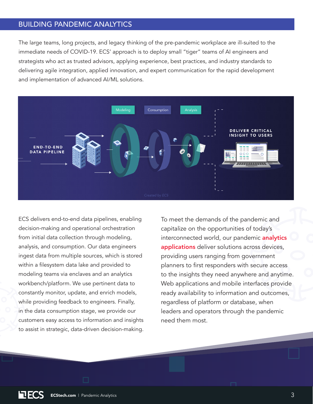### BUILDING PANDEMIC ANALYTICS

The large teams, long projects, and legacy thinking of the pre-pandemic workplace are ill-suited to the immediate needs of COVID-19. ECS' approach is to deploy small "tiger" teams of AI engineers and strategists who act as trusted advisors, applying experience, best practices, and industry standards to delivering agile integration, applied innovation, and expert communication for the rapid development and implementation of advanced AI/ML solutions.



ECS delivers end-to-end data pipelines, enabling decision-making and operational orchestration from initial data collection through modeling, analysis, and consumption. Our data engineers ingest data from multiple sources, which is stored within a filesystem data lake and provided to modeling teams via enclaves and an analytics workbench/platform. We use pertinent data to constantly monitor, update, and enrich models, while providing feedback to engineers. Finally, in the data consumption stage, we provide our customers easy access to information and insights to assist in strategic, data-driven decision-making. To meet the demands of the pandemic and capitalize on the opportunities of today's interconnected world, our pandemic **analytics** [applications](https://hubs.ly/H0LhDnc0) deliver solutions across devices, providing users ranging from government planners to first responders with secure access to the insights they need anywhere and anytime. Web applications and mobile interfaces provide ready availability to information and outcomes, regardless of platform or database, when leaders and operators through the pandemic need them most.

EC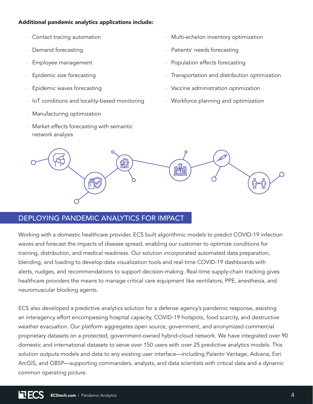#### Additional pandemic analytics applications include:

- Contact tracing automation
- Demand forecasting
- Employee management
- Epidemic size forecasting
- Epidemic waves forecasting
- IoT conditions and locality-based monitoring
- Manufacturing optimization
- Market effects forecasting with semantic network analysis
- Multi-echelon inventory optimization
- Patients' needs forecasting
- Population effects forecasting
- Transportation and distribution optimization
- Vaccine administration optimization
- Workforce planning and optimization



# DEPLOYING PANDEMIC ANALYTICS FOR IMPACT

Working with a domestic healthcare provider, ECS built algorithmic models to predict COVID-19 infection waves and forecast the impacts of disease spread, enabling our customer to optimize conditions for training, distribution, and medical readiness. Our solution incorporated automated data preparation, blending, and loading to develop data visualization tools and real-time COVID-19 dashboards with alerts, nudges, and recommendations to support decision-making. Real-time supply-chain tracking gives healthcare providers the means to manage critical care equipment like ventilators, PPE, anesthesia, and neuromuscular blocking agents.

ECS also developed a predictive analytics solution for a defense agency's pandemic response, assisting an interagency effort encompassing hospital capacity, COVID-19 hotspots, food scarcity, and destructive weather evacuation. Our platform aggregates open source, government, and anonymized commercial proprietary datasets on a protected, government-owned hybrid-cloud network. We have integrated over 90 domestic and international datasets to serve over 150 users with over 25 predictive analytics models. This solution outputs models and data to any existing user interface—including Palantir Vantage, Advana, Esri ArcGIS, and GBSP—supporting commanders, analysts, and data scientists with critical data and a dynamic common operating picture.